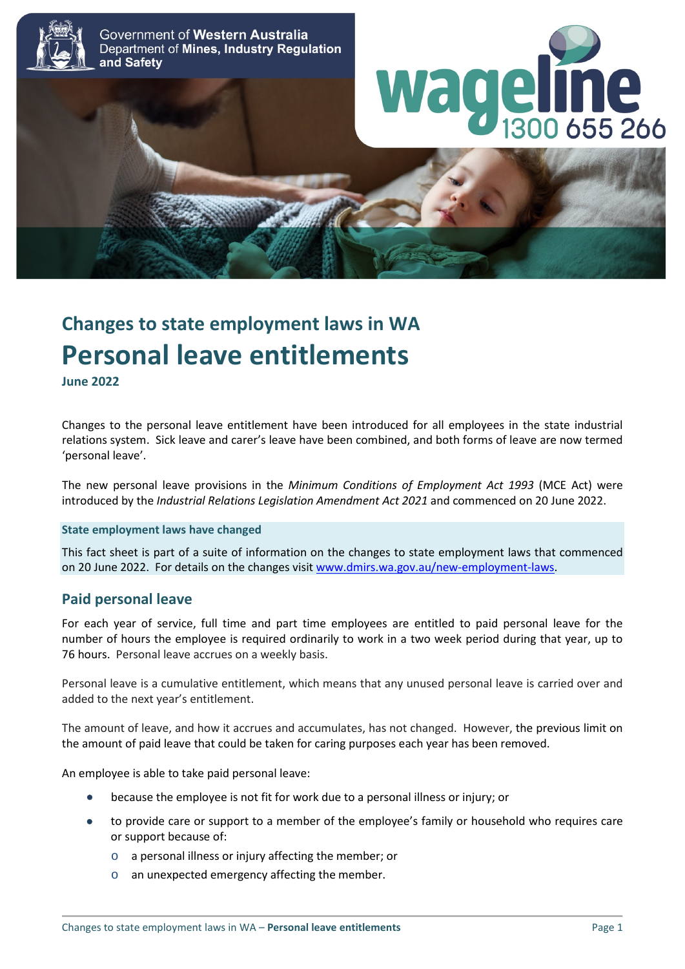

# **Changes to state employment laws in WA Personal leave entitlements**

**June 2022**

Changes to the personal leave entitlement have been introduced for all employees in the state industrial relations system. Sick leave and carer's leave have been combined, and both forms of leave are now termed 'personal leave'.

The new personal leave provisions in the *Minimum Conditions of Employment Act 1993* (MCE Act) were introduced by the *Industrial Relations Legislation Amendment Act 2021* and commenced on 20 June 2022.

#### **State employment laws have changed**

This fact sheet is part of a suite of information on the changes to state employment laws that commenced on 20 June 2022. For details on the changes visit [www.dmirs.wa.gov.au/new-employment-laws.](http://www.dmirs.wa.gov.au/new-employment-laws)

### **Paid personal leave**

For each year of service, full time and part time employees are entitled to paid personal leave for the number of hours the employee is required ordinarily to work in a two week period during that year, up to 76 hours. Personal leave accrues on a weekly basis.

Personal leave is a cumulative entitlement, which means that any unused personal leave is carried over and added to the next year's entitlement.

The amount of leave, and how it accrues and accumulates, has not changed. However, the previous limit on the amount of paid leave that could be taken for caring purposes each year has been removed.

An employee is able to take paid personal leave:

- because the employee is not fit for work due to a personal illness or injury; or
- to provide care or support to a member of the employee's family or household who requires care or support because of:
	- o a personal illness or injury affecting the member; or
	- an unexpected emergency affecting the member.